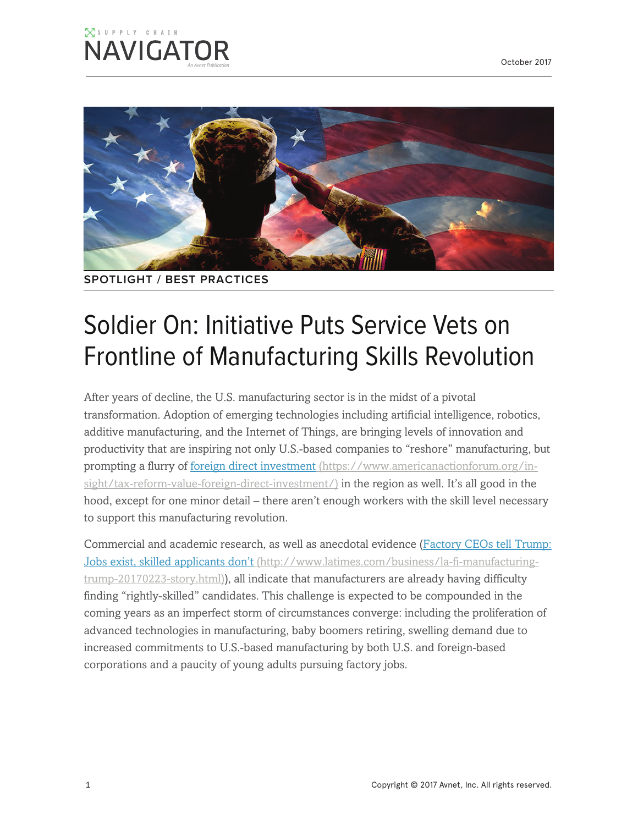#### $\boxtimes$  supply chain **NAVIGATOR**



**SPOTLIGHT / BEST PRACTICES**

# Soldier On: Initiative Puts Service Vets on Frontline of Manufacturing Skills Revolution

After years of decline, the U.S. manufacturing sector is in the midst of a pivotal transformation. Adoption of emerging technologies including artificial intelligence, robotics, additive manufacturing, and the Internet of Things, are bringing levels of innovation and productivity that are inspiring not only U.S.-based companies to "reshore" manufacturing, but prompting a flurry of foreign direct investment (https://www.americanactionforum.org/insight/tax-reform-value-foreign-direct-investment/) in the region as well. It's all good in the hood, except for one minor detail – there aren't enough workers with the skill level necessary to support this manufacturing revolution.

Commercial and academic research, as well as anecdotal evidence (Factory CEOs tell Trump: Jobs exist, skilled applicants don't (http://www.latimes.com/business/la-fi-manufacturingtrump-20170223-story.html)), all indicate that manufacturers are already having difficulty finding "rightly-skilled" candidates. This challenge is expected to be compounded in the coming years as an imperfect storm of circumstances converge: including the proliferation of advanced technologies in manufacturing, baby boomers retiring, swelling demand due to increased commitments to U.S.-based manufacturing by both U.S. and foreign-based corporations and a paucity of young adults pursuing factory jobs.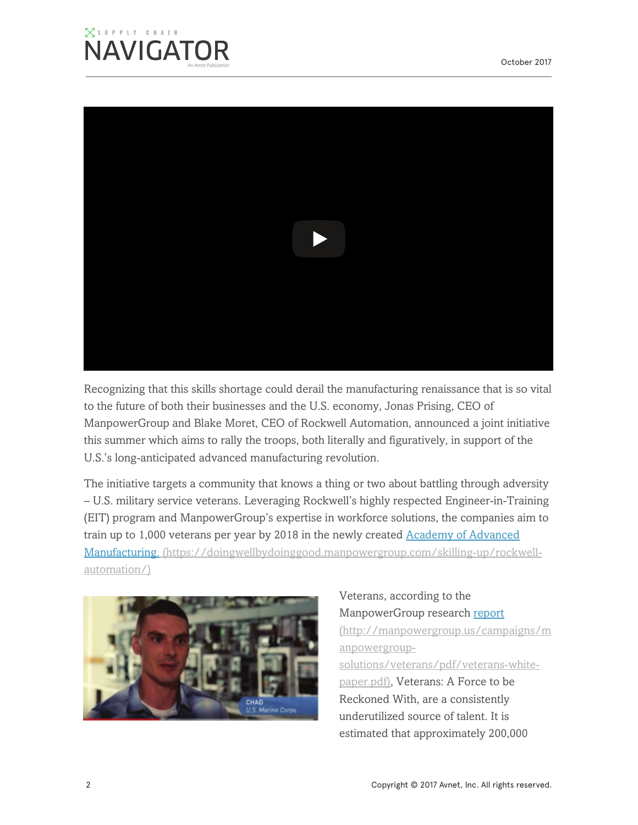#### $\boxtimes$  supply chain **NAVIGATOR**



Recognizing that this skills shortage could derail the manufacturing renaissance that is so vital to the future of both their businesses and the U.S. economy, Jonas Prising, CEO of ManpowerGroup and Blake Moret, CEO of Rockwell Automation, announced a joint initiative this summer which aims to rally the troops, both literally and figuratively, in support of the U.S.'s long-anticipated advanced manufacturing revolution.

The initiative targets a community that knows a thing or two about battling through adversity – U.S. military service veterans. Leveraging Rockwell's highly respected Engineer-in-Training (EIT) program and ManpowerGroup's expertise in workforce solutions, the companies aim to train up to 1,000 veterans per year by 2018 in the newly created Academy of Advanced Manufacturing. (https://doingwellbydoinggood.manpowergroup.com/skilling-up/rockwellautomation/)



Veterans, according to the ManpowerGroup research report (http://manpowergroup.us/campaigns/m anpowergroupsolutions/veterans/pdf/veterans-whitepaper.pdf), Veterans: A Force to be Reckoned With, are a consistently underutilized source of talent. It is estimated that approximately 200,000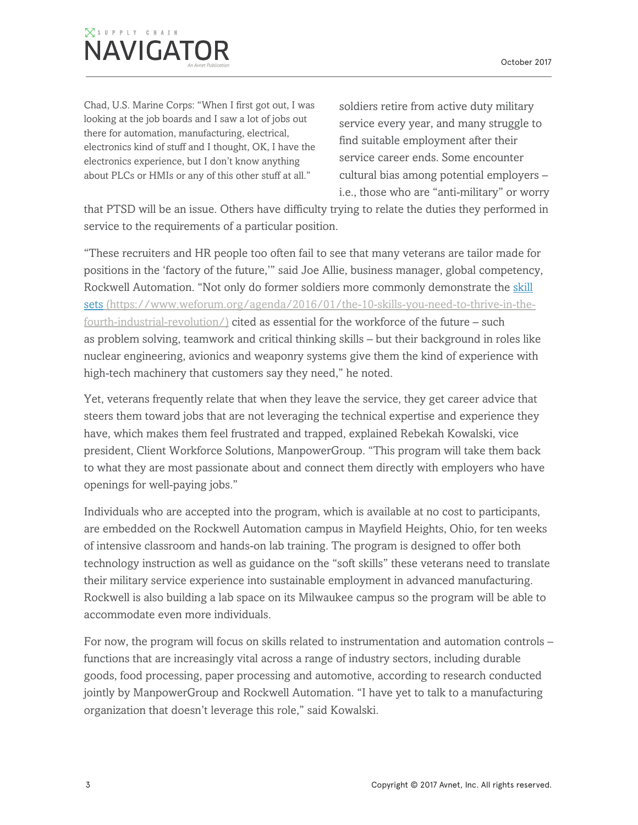## $\overline{\times}$  supply chain **NAVIGATOR**

Chad, U.S. Marine Corps: "When I first got out, I was looking at the job boards and I saw a lot of jobs out there for automation, manufacturing, electrical, electronics kind of stuff and I thought, OK, I have the electronics experience, but I don't know anything about PLCs or HMIs or any of this other stuff at all."

soldiers retire from active duty military service every year, and many struggle to find suitable employment after their service career ends. Some encounter cultural bias among potential employers – i.e., those who are "anti-military" or worry

that PTSD will be an issue. Others have difficulty trying to relate the duties they performed in service to the requirements of a particular position.

"These recruiters and HR people too often fail to see that many veterans are tailor made for positions in the 'factory of the future,'" said Joe Allie, business manager, global competency, Rockwell Automation. "Not only do former soldiers more commonly demonstrate the skill sets (https://www.weforum.org/agenda/2016/01/the-10-skills-you-need-to-thrive-in-thefourth-industrial-revolution/) cited as essential for the workforce of the future – such as problem solving, teamwork and critical thinking skills – but their background in roles like nuclear engineering, avionics and weaponry systems give them the kind of experience with high-tech machinery that customers say they need," he noted.

Yet, veterans frequently relate that when they leave the service, they get career advice that steers them toward jobs that are not leveraging the technical expertise and experience they have, which makes them feel frustrated and trapped, explained Rebekah Kowalski, vice president, Client Workforce Solutions, ManpowerGroup. "This program will take them back to what they are most passionate about and connect them directly with employers who have openings for well-paying jobs."

Individuals who are accepted into the program, which is available at no cost to participants, are embedded on the Rockwell Automation campus in Mayfield Heights, Ohio, for ten weeks of intensive classroom and hands-on lab training. The program is designed to offer both technology instruction as well as guidance on the "soft skills" these veterans need to translate their military service experience into sustainable employment in advanced manufacturing. Rockwell is also building a lab space on its Milwaukee campus so the program will be able to accommodate even more individuals.

For now, the program will focus on skills related to instrumentation and automation controls – functions that are increasingly vital across a range of industry sectors, including durable goods, food processing, paper processing and automotive, according to research conducted jointly by ManpowerGroup and Rockwell Automation. "I have yet to talk to a manufacturing organization that doesn't leverage this role," said Kowalski.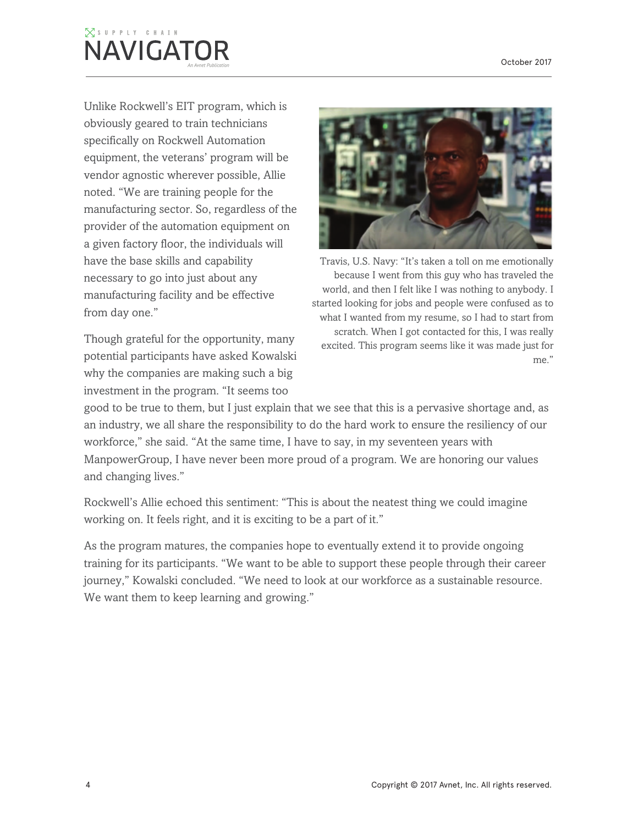## $\overline{\times}$  supply chain **NAVIGATOR**

Unlike Rockwell's EIT program, which is obviously geared to train technicians specifically on Rockwell Automation equipment, the veterans' program will be vendor agnostic wherever possible, Allie noted. "We are training people for the manufacturing sector. So, regardless of the provider of the automation equipment on a given factory floor, the individuals will have the base skills and capability necessary to go into just about any manufacturing facility and be effective from day one."

Though grateful for the opportunity, many potential participants have asked Kowalski why the companies are making such a big investment in the program. "It seems too



Travis, U.S. Navy: "It's taken a toll on me emotionally because I went from this guy who has traveled the world, and then I felt like I was nothing to anybody. I started looking for jobs and people were confused as to what I wanted from my resume, so I had to start from scratch. When I got contacted for this, I was really excited. This program seems like it was made just for me."

good to be true to them, but I just explain that we see that this is a pervasive shortage and, as an industry, we all share the responsibility to do the hard work to ensure the resiliency of our workforce," she said. "At the same time, I have to say, in my seventeen years with ManpowerGroup, I have never been more proud of a program. We are honoring our values and changing lives."

Rockwell's Allie echoed this sentiment: "This is about the neatest thing we could imagine working on. It feels right, and it is exciting to be a part of it."

As the program matures, the companies hope to eventually extend it to provide ongoing training for its participants. "We want to be able to support these people through their career journey," Kowalski concluded. "We need to look at our workforce as a sustainable resource. We want them to keep learning and growing."